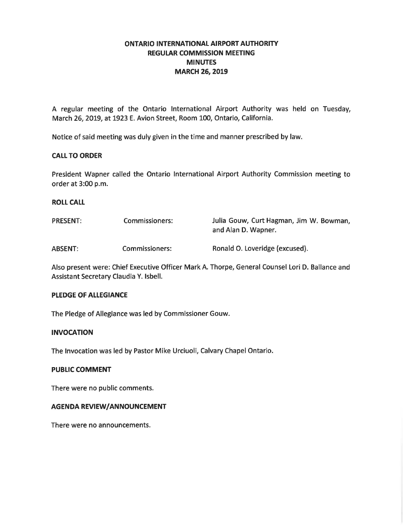# **ONTARIO INTERNATIONAL AIRPORT AUTHORITY REGULAR COMMISSION MEETING MINUTES MARCH 26, 2019**

A regular meeting of the Ontario International Airport Authority was held on Tuesday, March 26, 2019, at 1923 E. Avion Street, Room 100, Ontario, California.

Notice of said meeting was duly given in the time and manner prescribed by law.

#### **CALL TO ORDER**

President Wapner called the Ontario International Airport Authority Commission meeting to order at 3:00 p.m.

**ROLL CALL** 

| <b>PRESENT:</b> | Commissioners: | Julia Gouw, Curt Hagman, Jim W. Bowman,<br>and Alan D. Wapner. |
|-----------------|----------------|----------------------------------------------------------------|
| <b>ABSENT:</b>  | Commissioners: | Ronald O. Loveridge (excused).                                 |

Also present were: Chief Executive Officer Mark A. Thorpe, General Counsel Lori D. Ballance and Assistant Secretary Claudia Y. Isbell.

#### **PLEDGE OF ALLEGIANCE**

The Pledge of Allegiance was led by Commissioner Gouw.

## **INVOCATION**

The Invocation was led by Pastor Mike Urciuoli, Calvary Chapel Ontario.

#### **PUBLIC COMMENT**

There were no public comments.

#### **AGENDA REVIEW/ANNOUNCEMENT**

There were no announcements.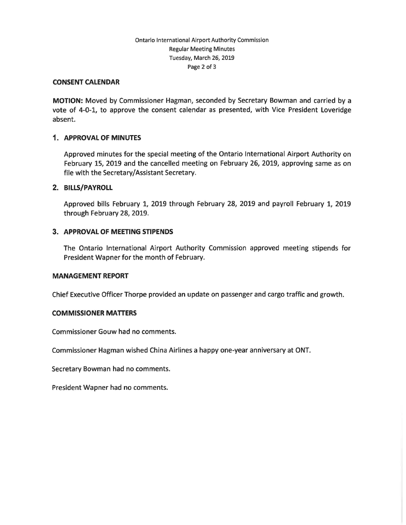## Ontario International Airport Authority Commission Regular Meeting Minutes Tuesday, March 26, 2019 Page 2 of 3

#### **CONSENT CALENDAR**

**MOTION:** Moved by Commissioner Hagman, seconded by Secretary Bowman and carried by a vote of 4-0-1, to approve the consent calendar as presented, with Vice President Loveridge absent.

## **1. APPROVAL OF MINUTES**

Approved minutes for the special meeting of the Ontario International Airport Authority on February 15, 2019 and the cancelled meeting on February 26, 2019, approving same as on file with the Secretary/Assistant Secretary.

#### **2. BILLS/PAYROLL**

Approved bills February 1, 2019 through February 28, 2019 and payroll February 1, 2019 through February 28, 2019.

## **3. APPROVAL OF MEETING STIPENDS**

The Ontario International Airport Authority Commission approved meeting stipends for President Wapner for the month of February.

#### **MANAGEMENT REPORT**

Chief Executive Officer Thorpe provided an update on passenger and cargo traffic and growth.

#### **COMMISSIONER MATTERS**

Commissioner Gouw had no comments.

Commissioner Hagman wished China Airlines a happy one-year anniversary at ONT.

Secretary Bowman had no comments.

President Wapner had no comments.